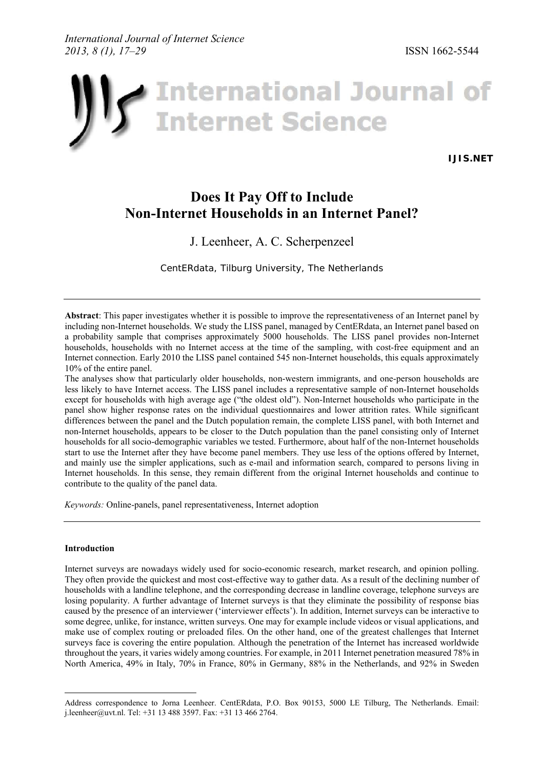

**[IJIS.NET](http://www.ijis.net/)**

# **Does It Pay Off to Include Non-Internet Households in an Internet Panel?**

## J. Leenheer, A. C. Scherpenzeel

*CentERdata, Tilburg University, The Netherlands*

**Abstract**: This paper investigates whether it is possible to improve the representativeness of an Internet panel by including non-Internet households. We study the LISS panel, managed by CentERdata, an Internet panel based on a probability sample that comprises approximately 5000 households. The LISS panel provides non-Internet households, households with no Internet access at the time of the sampling, with cost-free equipment and an Internet connection. Early 2010 the LISS panel contained 545 non-Internet households, this equals approximately 10% of the entire panel.

The analyses show that particularly older households, non-western immigrants, and one-person households are less likely to have Internet access. The LISS panel includes a representative sample of non-Internet households except for households with high average age ("the oldest old"). Non-Internet households who participate in the panel show higher response rates on the individual questionnaires and lower attrition rates. While significant differences between the panel and the Dutch population remain, the complete LISS panel, with both Internet and non-Internet households, appears to be closer to the Dutch population than the panel consisting only of Internet households for all socio-demographic variables we tested. Furthermore, about half of the non-Internet households start to use the Internet after they have become panel members. They use less of the options offered by Internet, and mainly use the simpler applications, such as e-mail and information search, compared to persons living in Internet households. In this sense, they remain different from the original Internet households and continue to contribute to the quality of the panel data.

*Keywords:* Online-panels, panel representativeness, Internet adoption

#### **Introduction**

-

Internet surveys are nowadays widely used for socio-economic research, market research, and opinion polling. They often provide the quickest and most cost-effective way to gather data. As a result of the declining number of households with a landline telephone, and the corresponding decrease in landline coverage, telephone surveys are losing popularity. A further advantage of Internet surveys is that they eliminate the possibility of response bias caused by the presence of an interviewer ('interviewer effects'). In addition, Internet surveys can be interactive to some degree, unlike, for instance, written surveys. One may for example include videos or visual applications, and make use of complex routing or preloaded files. On the other hand, one of the greatest challenges that Internet surveys face is covering the entire population. Although the penetration of the Internet has increased worldwide throughout the years, it varies widely among countries. For example, in 2011 Internet penetration measured 78% in North America, 49% in Italy, 70% in France, 80% in Germany, 88% in the Netherlands, and 92% in Sweden

Address correspondence to Jorna Leenheer. CentERdata, P.O. Box 90153, 5000 LE Tilburg, The Netherlands. Email: [j.leenheer@uvt.nl.](mailto: j.leenheer@uvt.nl) Tel: +31 13 488 3597. Fax: +31 13 466 2764.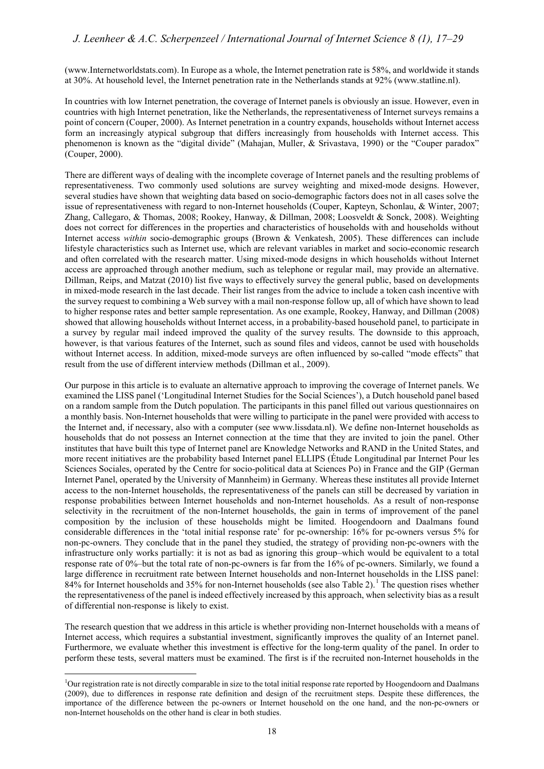[\(www.Internetworldstats.com\)](www.Internetworldstats.com). In Europe as a whole, the Internet penetration rate is 58%, and worldwide it stands at 30%. At household level, the Internet penetration rate in the Netherlands stands at 92% ([www.statline.nl\)](www.statline.nl).

In countries with low Internet penetration, the coverage of Internet panels is obviously an issue. However, even in countries with high Internet penetration, like the Netherlands, the representativeness of Internet surveys remains a point of concern (Couper, 2000). As Internet penetration in a country expands, households without Internet access form an increasingly atypical subgroup that differs increasingly from households with Internet access. This phenomenon is known as the "digital divide" (Mahajan, Muller, & Srivastava, 1990) or the "Couper paradox" (Couper, 2000).

There are different ways of dealing with the incomplete coverage of Internet panels and the resulting problems of representativeness. Two commonly used solutions are survey weighting and mixed-mode designs. However, several studies have shown that weighting data based on socio-demographic factors does not in all cases solve the issue of representativeness with regard to non-Internet households (Couper, Kapteyn, Schonlau, & Winter, 2007; Zhang, Callegaro, & Thomas, 2008; Rookey, Hanway, & Dillman, 2008; Loosveldt & Sonck, 2008). Weighting does not correct for differences in the properties and characteristics of households with and households without Internet access *within* socio-demographic groups (Brown & Venkatesh, 2005). These differences can include lifestyle characteristics such as Internet use, which are relevant variables in market and socio-economic research and often correlated with the research matter. Using mixed-mode designs in which households without Internet access are approached through another medium, such as telephone or regular mail, may provide an alternative. Dillman, Reips, and Matzat (2010) list five ways to effectively survey the general public, based on developments in mixed-mode research in the last decade. Their list ranges from the advice to include a token cash incentive with the survey request to combining a Web survey with a mail non-response follow up, all of which have shown to lead to higher response rates and better sample representation. As one example, Rookey, Hanway, and Dillman (2008) showed that allowing households without Internet access, in a probability-based household panel, to participate in a survey by regular mail indeed improved the quality of the survey results. The downside to this approach, however, is that various features of the Internet, such as sound files and videos, cannot be used with households without Internet access. In addition, mixed-mode surveys are often influenced by so-called "mode effects" that result from the use of different interview methods (Dillman et al., 2009).

Our purpose in this article is to evaluate an alternative approach to improving the coverage of Internet panels. We examined the LISS panel ('Longitudinal Internet Studies for the Social Sciences'), a Dutch household panel based on a random sample from the Dutch population. The participants in this panel filled out various questionnaires on a monthly basis. Non-Internet households that were willing to participate in the panel were provided with access to the Internet and, if necessary, also with a computer (see [www.lissdata.nl\)](www.lissdata.nl). We define non-Internet households as households that do not possess an Internet connection at the time that they are invited to join the panel. Other institutes that have built this type of Internet panel are Knowledge Networks and RAND in the United States, and more recent initiatives are the probability based Internet panel ELLIPS (Étude Longitudinal par Internet Pour les Sciences Sociales, operated by the Centre for socio-political data at Sciences Po) in France and the GIP (German Internet Panel, operated by the University of Mannheim) in Germany. Whereas these institutes all provide Internet access to the non-Internet households, the representativeness of the panels can still be decreased by variation in response probabilities between Internet households and non-Internet households. As a result of non-response selectivity in the recruitment of the non-Internet households, the gain in terms of improvement of the panel composition by the inclusion of these households might be limited. Hoogendoorn and Daalmans found considerable differences in the 'total initial response rate' for pc-ownership: 16% for pc-owners versus 5% for non-pc-owners. They conclude that in the panel they studied, the strategy of providing non-pc-owners with the infrastructure only works partially: it is not as bad as ignoring this group–which would be equivalent to a total response rate of 0%–but the total rate of non-pc-owners is far from the 16% of pc-owners. Similarly, we found a large difference in recruitment rate between Internet households and non-Internet households in the LISS panel: 84% for Internet households and 35% for non-Internet households (see also Table 2).<sup>[1](#page-1-0)</sup> The question rises whether the representativeness of the panel is indeed effectively increased by this approach, when selectivity bias as a result of differential non-response is likely to exist.

The research question that we address in this article is whether providing non-Internet households with a means of Internet access, which requires a substantial investment, significantly improves the quality of an Internet panel. Furthermore, we evaluate whether this investment is effective for the long-term quality of the panel. In order to perform these tests, several matters must be examined. The first is if the recruited non-Internet households in the

<u>.</u>

<span id="page-1-0"></span><sup>&</sup>lt;sup>1</sup>Our registration rate is not directly comparable in size to the total initial response rate reported by Hoogendoorn and Daalmans (2009), due to differences in response rate definition and design of the recruitment steps. Despite these differences, the importance of the difference between the pc-owners or Internet household on the one hand, and the non-pc-owners or non-Internet households on the other hand is clear in both studies.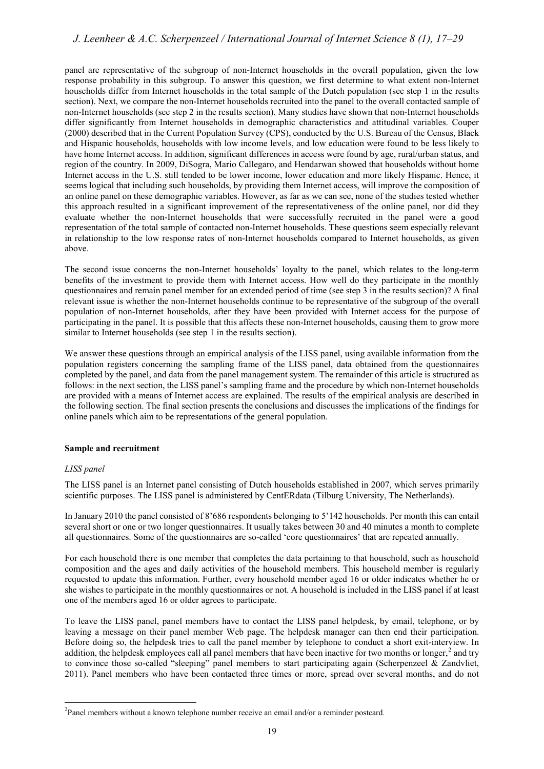## *J. Leenheer & A.C. Scherpenzeel / International Journal of Internet Science 8 (1), 17–29*

panel are representative of the subgroup of non-Internet households in the overall population, given the low response probability in this subgroup. To answer this question, we first determine to what extent non-Internet households differ from Internet households in the total sample of the Dutch population (see step 1 in the results section). Next, we compare the non-Internet households recruited into the panel to the overall contacted sample of non-Internet households (see step 2 in the results section). Many studies have shown that non-Internet households differ significantly from Internet households in demographic characteristics and attitudinal variables. Couper (2000) described that in the Current Population Survey (CPS), conducted by the U.S. Bureau of the Census, Black and Hispanic households, households with low income levels, and low education were found to be less likely to have home Internet access. In addition, significant differences in access were found by age, rural/urban status, and region of the country. In 2009, DiSogra, Mario Callegaro, and Hendarwan showed that households without home Internet access in the U.S. still tended to be lower income, lower education and more likely Hispanic. Hence, it seems logical that including such households, by providing them Internet access, will improve the composition of an online panel on these demographic variables. However, as far as we can see, none of the studies tested whether this approach resulted in a significant improvement of the representativeness of the online panel, nor did they evaluate whether the non-Internet households that were successfully recruited in the panel were a good representation of the total sample of contacted non-Internet households. These questions seem especially relevant in relationship to the low response rates of non-Internet households compared to Internet households, as given above.

The second issue concerns the non-Internet households' loyalty to the panel, which relates to the long-term benefits of the investment to provide them with Internet access. How well do they participate in the monthly questionnaires and remain panel member for an extended period of time (see step 3 in the results section)? A final relevant issue is whether the non-Internet households continue to be representative of the subgroup of the overall population of non-Internet households, after they have been provided with Internet access for the purpose of participating in the panel. It is possible that this affects these non-Internet households, causing them to grow more similar to Internet households (see step 1 in the results section).

We answer these questions through an empirical analysis of the LISS panel, using available information from the population registers concerning the sampling frame of the LISS panel, data obtained from the questionnaires completed by the panel, and data from the panel management system. The remainder of this article is structured as follows: in the next section, the LISS panel's sampling frame and the procedure by which non-Internet households are provided with a means of Internet access are explained. The results of the empirical analysis are described in the following section. The final section presents the conclusions and discusses the implications of the findings for online panels which aim to be representations of the general population.

#### **Sample and recruitment**

#### *LISS panel*

The LISS panel is an Internet panel consisting of Dutch households established in 2007, which serves primarily scientific purposes. The LISS panel is administered by CentERdata (Tilburg University, The Netherlands).

In January 2010 the panel consisted of 8'686 respondents belonging to 5'142 households. Per month this can entail several short or one or two longer questionnaires. It usually takes between 30 and 40 minutes a month to complete all questionnaires. Some of the questionnaires are so-called 'core questionnaires' that are repeated annually.

For each household there is one member that completes the data pertaining to that household, such as household composition and the ages and daily activities of the household members. This household member is regularly requested to update this information. Further, every household member aged 16 or older indicates whether he or she wishes to participate in the monthly questionnaires or not. A household is included in the LISS panel if at least one of the members aged 16 or older agrees to participate.

To leave the LISS panel, panel members have to contact the LISS panel helpdesk, by email, telephone, or by leaving a message on their panel member Web page. The helpdesk manager can then end their participation. Before doing so, the helpdesk tries to call the panel member by telephone to conduct a short exit-interview. In addition, the helpdesk employees call all panel members that have been inactive for two months or longer, $^2$  $^2$  and try to convince those so-called "sleeping" panel members to start participating again (Scherpenzeel & Zandvliet, 2011). Panel members who have been contacted three times or more, spread over several months, and do not

<span id="page-2-0"></span><sup>&</sup>lt;u>.</u>  $2$ Panel members without a known telephone number receive an email and/or a reminder postcard.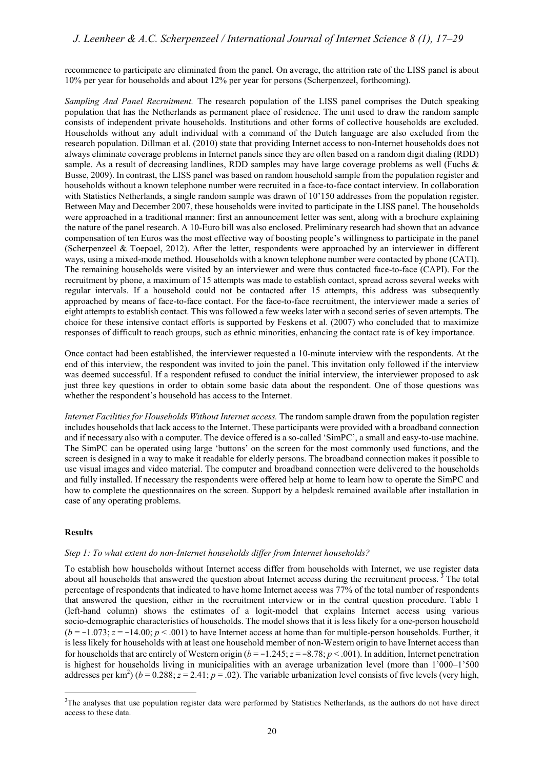recommence to participate are eliminated from the panel. On average, the attrition rate of the LISS panel is about 10% per year for households and about 12% per year for persons (Scherpenzeel, forthcoming).

*Sampling And Panel Recruitment.* The research population of the LISS panel comprises the Dutch speaking population that has the Netherlands as permanent place of residence. The unit used to draw the random sample consists of independent private households. Institutions and other forms of collective households are excluded. Households without any adult individual with a command of the Dutch language are also excluded from the research population. Dillman et al. (2010) state that providing Internet access to non-Internet households does not always eliminate coverage problems in Internet panels since they are often based on a random digit dialing (RDD) sample. As a result of decreasing landlines, RDD samples may have large coverage problems as well (Fuchs & Busse, 2009). In contrast, the LISS panel was based on random household sample from the population register and households without a known telephone number were recruited in a face-to-face contact interview. In collaboration with Statistics Netherlands, a single random sample was drawn of 10'150 addresses from the population register. Between May and December 2007, these households were invited to participate in the LISS panel. The households were approached in a traditional manner: first an announcement letter was sent, along with a brochure explaining the nature of the panel research. A 10-Euro bill was also enclosed. Preliminary research had shown that an advance compensation of ten Euros was the most effective way of boosting people's willingness to participate in the panel (Scherpenzeel & Toepoel, 2012). After the letter, respondents were approached by an interviewer in different ways, using a mixed-mode method. Households with a known telephone number were contacted by phone (CATI). The remaining households were visited by an interviewer and were thus contacted face-to-face (CAPI). For the recruitment by phone, a maximum of 15 attempts was made to establish contact, spread across several weeks with regular intervals. If a household could not be contacted after 15 attempts, this address was subsequently approached by means of face-to-face contact. For the face-to-face recruitment, the interviewer made a series of eight attempts to establish contact. This was followed a few weeks later with a second series of seven attempts. The choice for these intensive contact efforts is supported by Feskens et al. (2007) who concluded that to maximize responses of difficult to reach groups, such as ethnic minorities, enhancing the contact rate is of key importance.

Once contact had been established, the interviewer requested a 10-minute interview with the respondents. At the end of this interview, the respondent was invited to join the panel. This invitation only followed if the interview was deemed successful. If a respondent refused to conduct the initial interview, the interviewer proposed to ask just three key questions in order to obtain some basic data about the respondent. One of those questions was whether the respondent's household has access to the Internet.

*Internet Facilities for Households Without Internet access.* The random sample drawn from the population register includes households that lack access to the Internet. These participants were provided with a broadband connection and if necessary also with a computer. The device offered is a so-called 'SimPC', a small and easy-to-use machine. The SimPC can be operated using large 'buttons' on the screen for the most commonly used functions, and the screen is designed in a way to make it readable for elderly persons. The broadband connection makes it possible to use visual images and video material. The computer and broadband connection were delivered to the households and fully installed. If necessary the respondents were offered help at home to learn how to operate the SimPC and how to complete the questionnaires on the screen. Support by a helpdesk remained available after installation in case of any operating problems.

#### **Results**

-

#### *Step 1: To what extent do non-Internet households differ from Internet households?*

To establish how households without Internet access differ from households with Internet, we use register data about all households that answered the question about Internet access during the recruitment process.  $\frac{3}{3}$  $\frac{3}{3}$  $\frac{3}{3}$  The total percentage of respondents that indicated to have home Internet access was 77% of the total number of respondents that answered the question, either in the recruitment interview or in the central question procedure. Table 1 (left-hand column) shows the estimates of a logit-model that explains Internet access using various socio-demographic characteristics of households. The model shows that it is less likely for a one-person household (*b* = −1.073; *z* = −14.00; *p* < .001) to have Internet access at home than for multiple-person households. Further, it is less likely for households with at least one household member of non-Western origin to have Internet access than for households that are entirely of Western origin  $(b = -1.245; z = -8.78; p < .001)$ . In addition, Internet penetration is highest for households living in municipalities with an average urbanization level (more than 1'000–1'500 addresses per km<sup>2</sup>) ( $b = 0.288$ ;  $z = 2.41$ ;  $p = .02$ ). The variable urbanization level consists of five levels (very high,

<span id="page-3-0"></span><sup>&</sup>lt;sup>3</sup>The analyses that use population register data were performed by Statistics Netherlands, as the authors do not have direct access to these data.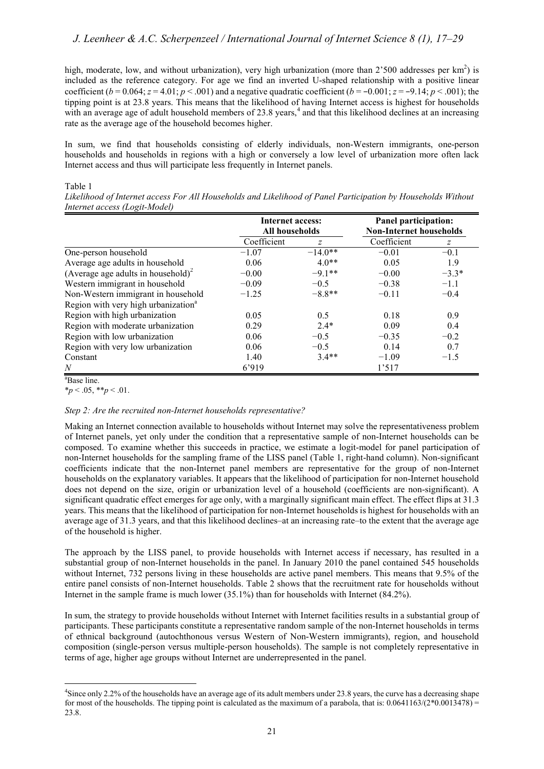high, moderate, low, and without urbanization), very high urbanization (more than  $2'500$  addresses per km<sup>2</sup>) is included as the reference category. For age we find an inverted U-shaped relationship with a positive linear coefficient  $(b = 0.064; z = 4.01; p < .001)$  and a negative quadratic coefficient  $(b = -0.001; z = -9.14; p < .001)$ ; the tipping point is at 23.8 years. This means that the likelihood of having Internet access is highest for households with an average age of adult household members of 23.8 years,<sup>[4](#page-4-0)</sup> and that this likelihood declines at an increasing rate as the average age of the household becomes higher.

In sum, we find that households consisting of elderly individuals, non-Western immigrants, one-person households and households in regions with a high or conversely a low level of urbanization more often lack Internet access and thus will participate less frequently in Internet panels.

#### Table 1

*Likelihood of Internet access For All Households and Likelihood of Panel Participation by Households Without Internet access (Logit-Model)*

|                                                 | <b>Internet access:</b><br>All households |                | Panel participation:           |               |
|-------------------------------------------------|-------------------------------------------|----------------|--------------------------------|---------------|
|                                                 |                                           |                | <b>Non-Internet households</b> |               |
|                                                 | Coefficient                               | $\overline{z}$ | Coefficient                    | $\mathcal{Z}$ |
| One-person household                            | $-1.07$                                   | $-14.0**$      | $-0.01$                        | $-0.1$        |
| Average age adults in household                 | 0.06                                      | $4.0**$        | 0.05                           | 1.9           |
| (Average age adults in household) <sup>2</sup>  | $-0.00$                                   | $-9.1**$       | $-0.00$                        | $-3.3*$       |
| Western immigrant in household                  | $-0.09$                                   | $-0.5$         | $-0.38$                        | $-1.1$        |
| Non-Western immigrant in household              | $-1.25$                                   | $-8.8**$       | $-0.11$                        | $-0.4$        |
| Region with very high urbanization <sup>a</sup> |                                           |                |                                |               |
| Region with high urbanization                   | 0.05                                      | 0.5            | 0.18                           | 0.9           |
| Region with moderate urbanization               | 0.29                                      | $2.4*$         | 0.09                           | 0.4           |
| Region with low urbanization                    | 0.06                                      | $-0.5$         | $-0.35$                        | $-0.2$        |
| Region with very low urbanization               | 0.06                                      | $-0.5$         | 0.14                           | 0.7           |
| Constant                                        | 1.40                                      | $3.4**$        | $-1.09$                        | $-1.5$        |
| N                                               | 6'919                                     |                | 1'517                          |               |

a Base line.

 $**p* < .05, ***p* < .01.$ 

#### *Step 2: Are the recruited non-Internet households representative?*

Making an Internet connection available to households without Internet may solve the representativeness problem of Internet panels, yet only under the condition that a representative sample of non-Internet households can be composed. To examine whether this succeeds in practice, we estimate a logit-model for panel participation of non-Internet households for the sampling frame of the LISS panel (Table 1, right-hand column). Non-significant coefficients indicate that the non-Internet panel members are representative for the group of non-Internet households on the explanatory variables. It appears that the likelihood of participation for non-Internet household does not depend on the size, origin or urbanization level of a household (coefficients are non-significant). A significant quadratic effect emerges for age only, with a marginally significant main effect. The effect flips at 31.3 years. This means that the likelihood of participation for non-Internet households is highest for households with an average age of 31.3 years, and that this likelihood declines–at an increasing rate–to the extent that the average age of the household is higher.

The approach by the LISS panel, to provide households with Internet access if necessary, has resulted in a substantial group of non-Internet households in the panel. In January 2010 the panel contained 545 households without Internet, 732 persons living in these households are active panel members. This means that 9.5% of the entire panel consists of non-Internet households. Table 2 shows that the recruitment rate for households without Internet in the sample frame is much lower (35.1%) than for households with Internet (84.2%).

In sum, the strategy to provide households without Internet with Internet facilities results in a substantial group of participants. These participants constitute a representative random sample of the non-Internet households in terms of ethnical background (autochthonous versus Western of Non-Western immigrants), region, and household composition (single-person versus multiple-person households). The sample is not completely representative in terms of age, higher age groups without Internet are underrepresented in the panel.

<span id="page-4-0"></span><sup>-</sup><sup>4</sup>Since only 2.2% of the households have an average age of its adult members under 23.8 years, the curve has a decreasing shape for most of the households. The tipping point is calculated as the maximum of a parabola, that is:  $0.0641163/(2*0.0013478)$  = 23.8.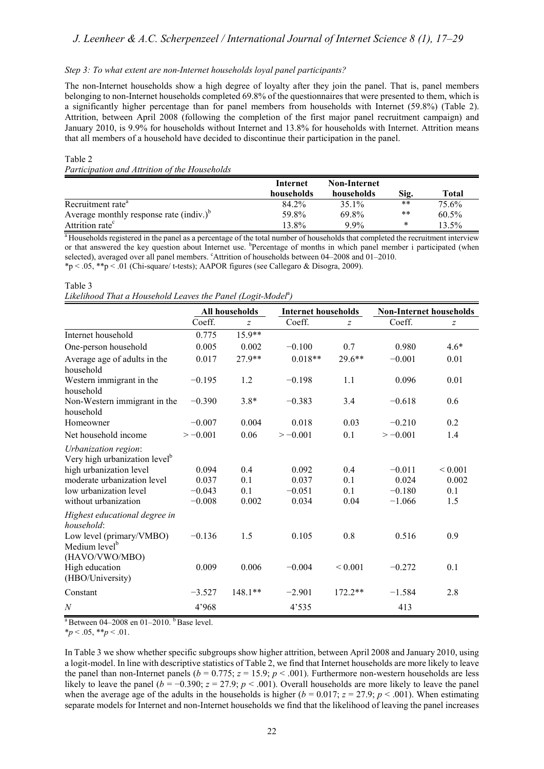#### *Step 3: To what extent are non-Internet households loyal panel participants?*

The non-Internet households show a high degree of loyalty after they join the panel. That is, panel members belonging to non-Internet households completed 69.8% of the questionnaires that were presented to them, which is a significantly higher percentage than for panel members from households with Internet (59.8%) (Table 2). Attrition, between April 2008 (following the completion of the first major panel recruitment campaign) and January 2010, is 9.9% for households without Internet and 13.8% for households with Internet. Attrition means that all members of a household have decided to discontinue their participation in the panel.

#### Table 2 *Participation and Attrition of the Households*

|                                            | Internet   | <b>Non-Internet</b> |        |       |
|--------------------------------------------|------------|---------------------|--------|-------|
|                                            | households | households          | Sig.   | Total |
| Recruitment rate <sup>a</sup>              | 84.2%      | 35.1%               | $***$  | 75.6% |
| Average monthly response rate $(indiv.)^b$ | 59.8%      | 69.8%               | $***$  | 60.5% |
| Attrition rate <sup>c</sup>                | 13.8%      | $9.9\%$             | $\ast$ | 13.5% |

<sup>a</sup> Households registered in the panel as a percentage of the total number of households that completed the recruitment interview or that answered the key question about Internet use. <sup>b</sup>Percentage of months in which panel member i participated (when selected), averaged over all panel members. "Attrition of households between 04-2008 and 01-2010. \*p < .05, \*\*p < .01 (Chi-square/ t-tests); AAPOR figures (see Callegaro & Disogra, 2009).

Table 3

Likelihood That a Household Leaves the Panel (Logit-Model<sup>a</sup>)

|                                                                                              | All households |                |            | <b>Internet households</b> |            | <b>Non-Internet households</b> |  |
|----------------------------------------------------------------------------------------------|----------------|----------------|------------|----------------------------|------------|--------------------------------|--|
|                                                                                              | Coeff.         | $\overline{z}$ | Coeff.     | z                          | Coeff.     | z                              |  |
| Internet household                                                                           | 0.775          | $15.9**$       |            |                            |            |                                |  |
| One-person household                                                                         | 0.005          | 0.002          | $-0.100$   | 0.7                        | 0.980      | $4.6*$                         |  |
| Average age of adults in the<br>household                                                    | 0.017          | 27.9**         | $0.018**$  | $29.6**$                   | $-0.001$   | 0.01                           |  |
| Western immigrant in the<br>household                                                        | $-0.195$       | 1.2            | $-0.198$   | 1.1                        | 0.096      | 0.01                           |  |
| Non-Western immigrant in the<br>household                                                    | $-0.390$       | $3.8*$         | $-0.383$   | 3.4                        | $-0.618$   | 0.6                            |  |
| Homeowner                                                                                    | $-0.007$       | 0.004          | 0.018      | 0.03                       | $-0.210$   | 0.2                            |  |
| Net household income                                                                         | $> -0.001$     | 0.06           | $> -0.001$ | 0.1                        | $> -0.001$ | 1.4                            |  |
| Urbanization region:<br>Very high urbanization level <sup>b</sup><br>high urbanization level | 0.094          | 0.4            | 0.092      | 0.4                        | $-0.011$   | ${}< 0.001$                    |  |
| moderate urbanization level                                                                  | 0.037          | 0.1            | 0.037      | 0.1                        | 0.024      | 0.002                          |  |
| low urbanization level                                                                       | $-0.043$       | 0.1            | $-0.051$   | 0.1                        | $-0.180$   | 0.1                            |  |
| without urbanization                                                                         | $-0.008$       | 0.002          | 0.034      | 0.04                       | $-1.066$   | 1.5                            |  |
| Highest educational degree in<br>household:                                                  |                |                |            |                            |            |                                |  |
| Low level (primary/VMBO)<br>Medium level <sup>b</sup><br>(HAVO/VWO/MBO)                      | $-0.136$       | 1.5            | 0.105      | 0.8                        | 0.516      | 0.9                            |  |
| High education<br>(HBO/University)                                                           | 0.009          | 0.006          | $-0.004$   | ${}_{0.001}$               | $-0.272$   | 0.1                            |  |
| Constant                                                                                     | $-3.527$       | $148.1**$      | $-2.901$   | $172.2**$                  | $-1.584$   | 2.8                            |  |
| $\boldsymbol{N}$                                                                             | 4'968          |                | 4'535      |                            | 413        |                                |  |

 $a$  Between 04–2008 en 01–2010.  $b$  Base level.

 $*_{p}$  < .05,  $*_{p}$  < .01.

In Table 3 we show whether specific subgroups show higher attrition, between April 2008 and January 2010, using a logit-model. In line with descriptive statistics of Table 2, we find that Internet households are more likely to leave the panel than non-Internet panels ( $b = 0.775$ ;  $z = 15.9$ ;  $p < .001$ ). Furthermore non-western households are less likely to leave the panel ( $b = -0.390$ ;  $z = 27.9$ ;  $p < .001$ ). Overall households are more likely to leave the panel when the average age of the adults in the households is higher  $(b = 0.017; z = 27.9; p < .001)$ . When estimating separate models for Internet and non-Internet households we find that the likelihood of leaving the panel increases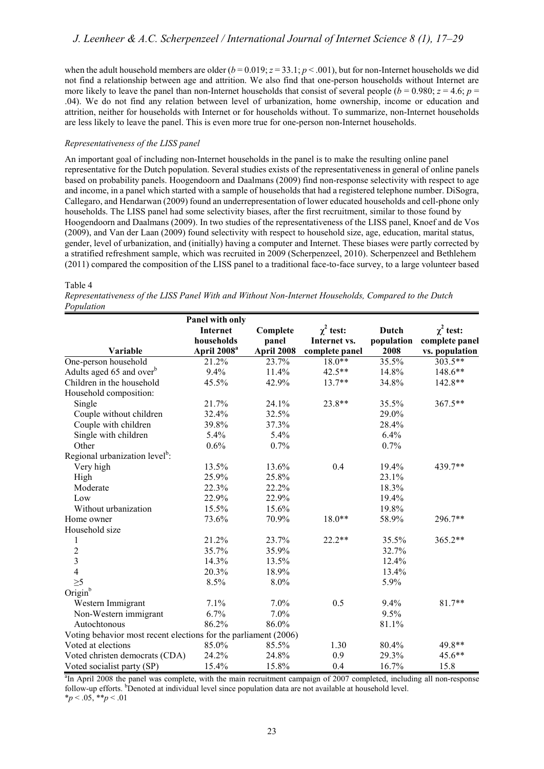when the adult household members are older  $(b = 0.019; z = 33.1; p < .001)$ , but for non-Internet households we did not find a relationship between age and attrition. We also find that one-person households without Internet are more likely to leave the panel than non-Internet households that consist of several people ( $b = 0.980$ ;  $z = 4.6$ ;  $p =$ .04). We do not find any relation between level of urbanization, home ownership, income or education and attrition, neither for households with Internet or for households without. To summarize, non-Internet households are less likely to leave the panel. This is even more true for one-person non-Internet households.

#### *Representativeness of the LISS panel*

An important goal of including non-Internet households in the panel is to make the resulting online panel representative for the Dutch population. Several studies exists of the representativeness in general of online panels based on probability panels. Hoogendoorn and Daalmans (2009) find non-response selectivity with respect to age and income, in a panel which started with a sample of households that had a registered telephone number. DiSogra, Callegaro, and Hendarwan (2009) found an underrepresentation of lower educated households and cell-phone only households. The LISS panel had some selectivity biases, after the first recruitment, similar to those found by Hoogendoorn and Daalmans (2009). In two studies of the representativeness of the LISS panel, Knoef and de Vos (2009), and Van der Laan (2009) found selectivity with respect to household size, age, education, marital status, gender, level of urbanization, and (initially) having a computer and Internet. These biases were partly corrected by a stratified refreshment sample, which was recruited in 2009 (Scherpenzeel, 2010). Scherpenzeel and Bethlehem (2011) compared the composition of the LISS panel to a traditional face-to-face survey, to a large volunteer based

#### Table 4

| Representativeness of the LISS Panel With and Without Non-Internet Households, Compared to the Dutch |  |  |  |
|------------------------------------------------------------------------------------------------------|--|--|--|
| Population                                                                                           |  |  |  |

|                                                                 | Panel with only         |            |                |              |                |
|-----------------------------------------------------------------|-------------------------|------------|----------------|--------------|----------------|
|                                                                 | Internet                | Complete   | $\chi^2$ test: | <b>Dutch</b> | $\chi^2$ test: |
|                                                                 | households              | panel      | Internet vs.   | population   | complete panel |
| Variable                                                        | April 2008 <sup>a</sup> | April 2008 | complete panel | 2008         | vs. population |
| One-person household                                            | 21.2%                   | 23.7%      | 18.0**         | 35.5%        | 303.5**        |
| Adults aged 65 and over <sup>b</sup>                            | 9.4%                    | 11.4%      | $42.5**$       | 14.8%        | 148.6**        |
| Children in the household                                       | 45.5%                   | 42.9%      | $13.7**$       | 34.8%        | 142.8**        |
| Household composition:                                          |                         |            |                |              |                |
| Single                                                          | 21.7%                   | 24.1%      | $23.8**$       | 35.5%        | 367.5**        |
| Couple without children                                         | 32.4%                   | 32.5%      |                | 29.0%        |                |
| Couple with children                                            | 39.8%                   | 37.3%      |                | 28.4%        |                |
| Single with children                                            | 5.4%                    | 5.4%       |                | 6.4%         |                |
| Other                                                           | 0.6%                    | 0.7%       |                | 0.7%         |                |
| Regional urbanization level <sup>b</sup> :                      |                         |            |                |              |                |
| Very high                                                       | 13.5%                   | 13.6%      | 0.4            | 19.4%        | 439.7**        |
| High                                                            | 25.9%                   | 25.8%      |                | 23.1%        |                |
| Moderate                                                        | 22.3%                   | 22.2%      |                | 18.3%        |                |
| Low                                                             | 22.9%                   | 22.9%      |                | 19.4%        |                |
| Without urbanization                                            | 15.5%                   | 15.6%      |                | 19.8%        |                |
| Home owner                                                      | 73.6%                   | 70.9%      | $18.0**$       | 58.9%        | 296.7**        |
| Household size                                                  |                         |            |                |              |                |
| $\mathbf{1}$                                                    | 21.2%                   | 23.7%      | $22.2**$       | 35.5%        | $365.2**$      |
|                                                                 | 35.7%                   | 35.9%      |                | 32.7%        |                |
| $\begin{array}{c} 2 \\ 3 \\ 4 \end{array}$                      | 14.3%                   | 13.5%      |                | 12.4%        |                |
|                                                                 | 20.3%                   | 18.9%      |                | 13.4%        |                |
| $\geq 5$                                                        | 8.5%                    | 8.0%       |                | 5.9%         |                |
| Origin <sup>b</sup>                                             |                         |            |                |              |                |
| Western Immigrant                                               | 7.1%                    | 7.0%       | 0.5            | 9.4%         | $81.7**$       |
| Non-Western immigrant                                           | 6.7%                    | 7.0%       |                | 9.5%         |                |
| Autochtonous                                                    | 86.2%                   | 86.0%      |                | 81.1%        |                |
| Voting behavior most recent elections for the parliament (2006) |                         |            |                |              |                |
| Voted at elections                                              | 85.0%                   | 85.5%      | 1.30           | 80.4%        | 49.8**         |
| Voted christen democrats (CDA)                                  | 24.2%                   | 24.8%      | 0.9            | 29.3%        | $45.6**$       |
| Voted socialist party (SP)                                      | 15.4%                   | 15.8%      | 0.4            | 16.7%        | 15.8           |

<sup>a</sup>In April 2008 the panel was complete, with the main recruitment campaign of 2007 completed, including all non-response follow-up efforts. <sup>b</sup>Denoted at individual level since population data are not available at household level.  $*_{p}$  < .05,  $*_{p}$  < .01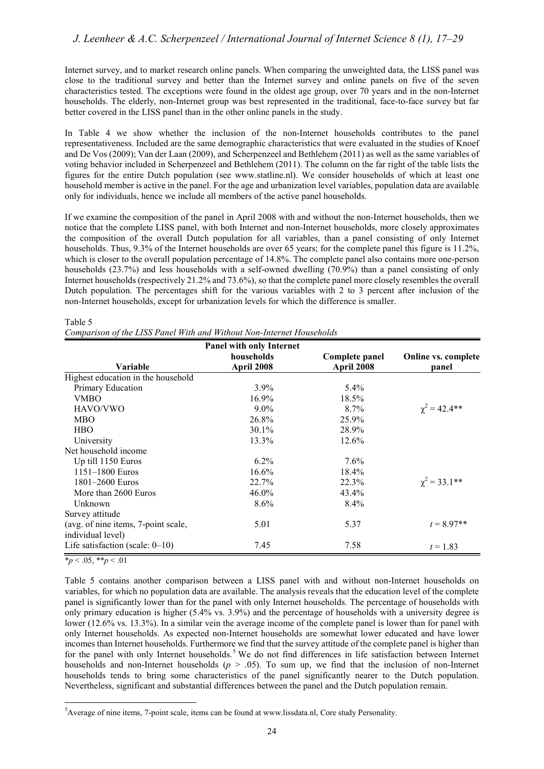Internet survey, and to market research online panels. When comparing the unweighted data, the LISS panel was close to the traditional survey and better than the Internet survey and online panels on five of the seven characteristics tested. The exceptions were found in the oldest age group, over 70 years and in the non-Internet households. The elderly, non-Internet group was best represented in the traditional, face-to-face survey but far better covered in the LISS panel than in the other online panels in the study.

In Table 4 we show whether the inclusion of the non-Internet households contributes to the panel representativeness. Included are the same demographic characteristics that were evaluated in the studies of Knoef and De Vos (2009); Van der Laan (2009), and Scherpenzeel and Bethlehem (2011) as well as the same variables of voting behavior included in Scherpenzeel and Bethlehem (2011). The column on the far right of the table lists the figures for the entire Dutch population (see [www.statline.nl\)](www.statline.nl). We consider households of which at least one household member is active in the panel. For the age and urbanization level variables, population data are available only for individuals, hence we include all members of the active panel households.

If we examine the composition of the panel in April 2008 with and without the non-Internet households, then we notice that the complete LISS panel, with both Internet and non-Internet households, more closely approximates the composition of the overall Dutch population for all variables, than a panel consisting of only Internet households. Thus, 9.3% of the Internet households are over 65 years; for the complete panel this figure is 11.2%, which is closer to the overall population percentage of 14.8%. The complete panel also contains more one-person households (23.7%) and less households with a self-owned dwelling (70.9%) than a panel consisting of only Internet households (respectively 21.2% and 73.6%), so that the complete panel more closely resembles the overall Dutch population. The percentages shift for the various variables with 2 to 3 percent after inclusion of the non-Internet households, except for urbanization levels for which the difference is smaller.

#### Table 5

|                                     | <b>Panel with only Internet</b> |                |                      |
|-------------------------------------|---------------------------------|----------------|----------------------|
|                                     | households                      | Complete panel | Online vs. complete  |
| Variable                            | April 2008                      | April 2008     | panel                |
| Highest education in the household  |                                 |                |                      |
| Primary Education                   | $3.9\%$                         | $5.4\%$        |                      |
| <b>VMBO</b>                         | $16.9\%$                        | 18.5%          |                      |
| HAVO/VWO                            | $9.0\%$                         | $8.7\%$        | $\chi^2 = 42.4$ **   |
| <b>MBO</b>                          | 26.8%                           | 25.9%          |                      |
| <b>HBO</b>                          | $30.1\%$                        | 28.9%          |                      |
| University                          | 13.3%                           | 12.6%          |                      |
| Net household income                |                                 |                |                      |
| Up till 1150 Euros                  | $6.2\%$                         | $7.6\%$        |                      |
| $1151 - 1800$ Euros                 | 16.6%                           | 18.4%          |                      |
| 1801–2600 Euros                     | 22.7%                           | 22.3%          | $\gamma^2 = 33.1$ ** |
| More than 2600 Euros                | $46.0\%$                        | 43.4%          |                      |
| Unknown                             | $8.6\%$                         | $8.4\%$        |                      |
| Survey attitude                     |                                 |                |                      |
| (avg. of nine items, 7-point scale, | 5.01                            | 5.37           | $t = 8.97**$         |
| individual level)                   |                                 |                |                      |
| Life satisfaction (scale: $0-10$ )  | 7.45                            | 7.58           | $t = 1.83$           |

 $*_p$  < .05,  $*_p$  < .01

Table 5 contains another comparison between a LISS panel with and without non-Internet households on variables, for which no population data are available. The analysis reveals that the education level of the complete panel is significantly lower than for the panel with only Internet households. The percentage of households with only primary education is higher (5.4% vs. 3.9%) and the percentage of households with a university degree is lower (12.6% vs. 13.3%). In a similar vein the average income of the complete panel is lower than for panel with only Internet households. As expected non-Internet households are somewhat lower educated and have lower incomes than Internet households. Furthermore we find that the survey attitude of the complete panel is higher than for the panel with only Internet households.<sup>[5](#page-7-0)</sup> We do not find differences in life satisfaction between Internet households and non-Internet households  $(p > .05)$ . To sum up, we find that the inclusion of non-Internet households tends to bring some characteristics of the panel significantly nearer to the Dutch population. Nevertheless, significant and substantial differences between the panel and the Dutch population remain.

<span id="page-7-0"></span><sup>&</sup>lt;u>.</u> 5 Average of nine items, 7-point scale, items can be found at [www.lissdata.nl,](www.lissdata.nl) Core study Personality.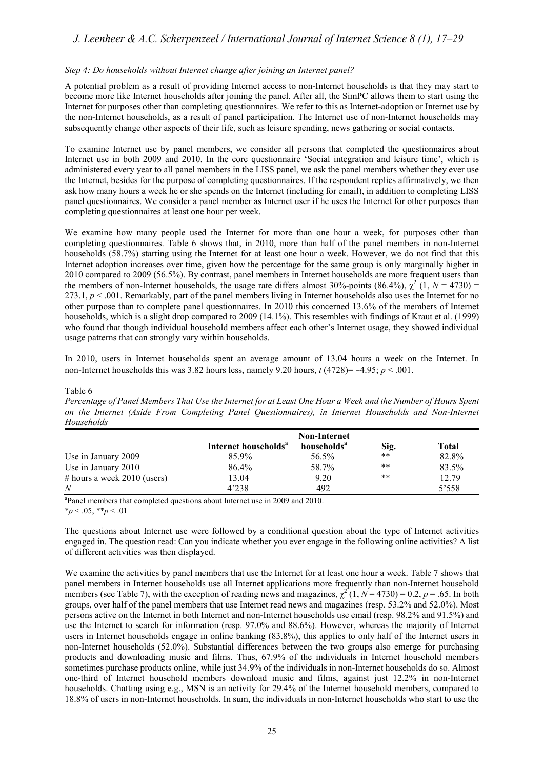## *J. Leenheer & A.C. Scherpenzeel / International Journal of Internet Science 8 (1), 17–29*

#### *Step 4: Do households without Internet change after joining an Internet panel?*

A potential problem as a result of providing Internet access to non-Internet households is that they may start to become more like Internet households after joining the panel. After all, the SimPC allows them to start using the Internet for purposes other than completing questionnaires. We refer to this as Internet-adoption or Internet use by the non-Internet households, as a result of panel participation. The Internet use of non-Internet households may subsequently change other aspects of their life, such as leisure spending, news gathering or social contacts.

To examine Internet use by panel members, we consider all persons that completed the questionnaires about Internet use in both 2009 and 2010. In the core questionnaire 'Social integration and leisure time', which is administered every year to all panel members in the LISS panel, we ask the panel members whether they ever use the Internet, besides for the purpose of completing questionnaires. If the respondent replies affirmatively, we then ask how many hours a week he or she spends on the Internet (including for email), in addition to completing LISS panel questionnaires. We consider a panel member as Internet user if he uses the Internet for other purposes than completing questionnaires at least one hour per week.

We examine how many people used the Internet for more than one hour a week, for purposes other than completing questionnaires. Table 6 shows that, in 2010, more than half of the panel members in non-Internet households (58.7%) starting using the Internet for at least one hour a week. However, we do not find that this Internet adoption increases over time, given how the percentage for the same group is only marginally higher in 2010 compared to 2009 (56.5%). By contrast, panel members in Internet households are more frequent users than the members of non-Internet households, the usage rate differs almost 30%-points (86.4%),  $\chi^2$  (1,  $N = 4730$ ) = 273.1,  $p < 0.001$ . Remarkably, part of the panel members living in Internet households also uses the Internet for no other purpose than to complete panel questionnaires. In 2010 this concerned 13.6% of the members of Internet households, which is a slight drop compared to 2009 (14.1%). This resembles with findings of Kraut et al. (1999) who found that though individual household members affect each other's Internet usage, they showed individual usage patterns that can strongly vary within households.

In 2010, users in Internet households spent an average amount of 13.04 hours a week on the Internet. In non-Internet households this was 3.82 hours less, namely 9.20 hours, *t* (4728)= −4.95; *p* < .001.

#### Table 6

*Percentage of Panel Members That Use the Internet for at Least One Hour a Week and the Number of Hours Spent on the Internet (Aside From Completing Panel Questionnaires), in Internet Households and Non-Internet Households*

|                               | <b>Non-Internet</b>              |                         |       |       |
|-------------------------------|----------------------------------|-------------------------|-------|-------|
|                               | Internet households <sup>"</sup> | households <sup>a</sup> | Sig.  | Total |
| Use in January 2009           | 85.9%                            | 56.5%                   | $* *$ | 82.8% |
| Use in January 2010           | 86.4%                            | 58.7%                   | $***$ | 83.5% |
| # hours a week $2010$ (users) | 13.04                            | 9.20                    | $***$ | 12.79 |
| N                             | 4'238                            | 492                     |       | 5'558 |

<sup>a</sup>Panel members that completed questions about Internet use in 2009 and 2010. \**p* < .05, \*\**p* < .01

The questions about Internet use were followed by a conditional question about the type of Internet activities engaged in. The question read: Can you indicate whether you ever engage in the following online activities? A list of different activities was then displayed.

We examine the activities by panel members that use the Internet for at least one hour a week. Table 7 shows that panel members in Internet households use all Internet applications more frequently than non-Internet household members (see Table 7), with the exception of reading news and magazines,  $\chi^2(1, N = 4730) = 0.2$ ,  $p = .65$ . In both groups, over half of the panel members that use Internet read news and magazines (resp. 53.2% and 52.0%). Most persons active on the Internet in both Internet and non-Internet households use email (resp. 98.2% and 91.5%) and use the Internet to search for information (resp. 97.0% and 88.6%). However, whereas the majority of Internet users in Internet households engage in online banking (83.8%), this applies to only half of the Internet users in non-Internet households (52.0%). Substantial differences between the two groups also emerge for purchasing products and downloading music and films. Thus, 67.9% of the individuals in Internet household members sometimes purchase products online, while just 34.9% of the individuals in non-Internet households do so. Almost one-third of Internet household members download music and films, against just 12.2% in non-Internet households. Chatting using e.g., MSN is an activity for 29.4% of the Internet household members, compared to 18.8% of users in non-Internet households. In sum, the individuals in non-Internet households who start to use the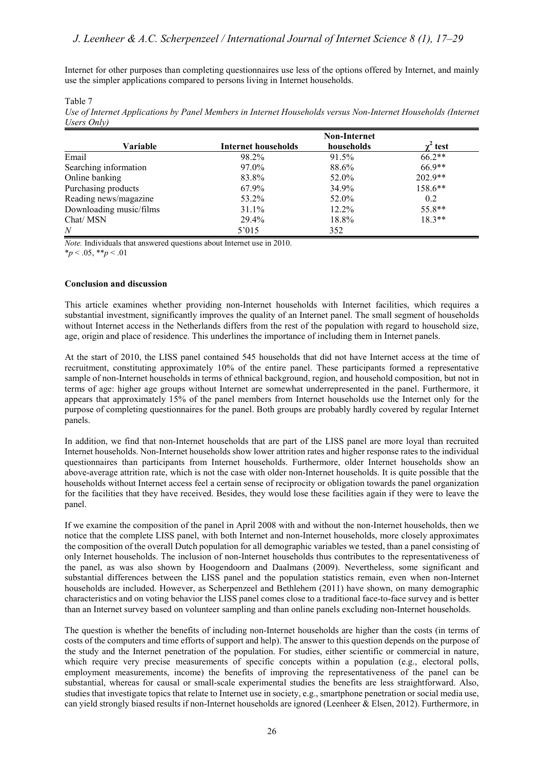Internet for other purposes than completing questionnaires use less of the options offered by Internet, and mainly use the simpler applications compared to persons living in Internet households.

Table 7

| Use of Internet Applications by Panel Members in Internet Households versus Non-Internet Households (Internet |  |
|---------------------------------------------------------------------------------------------------------------|--|
| Users Only)                                                                                                   |  |

|                         |                     | <b>Non-Internet</b> |           |
|-------------------------|---------------------|---------------------|-----------|
| <b>Variable</b>         | Internet households | households          | test      |
| Email                   | 98.2%               | 91.5%               | $66.2**$  |
| Searching information   | 97.0%               | 88.6%               | $66.9**$  |
| Online banking          | 83.8%               | 52.0%               | $202.9**$ |
| Purchasing products     | 67.9%               | 34.9%               | 158.6**   |
| Reading news/magazine   | 53.2%               | 52.0%               | 0.2       |
| Downloading music/films | 31.1%               | $12.2\%$            | 55.8**    |
| Chat/MSN                | 29.4%               | 18.8%               | $18.3**$  |
| $\overline{N}$          | 5'015               | 352                 |           |

*Note.* Individuals that answered questions about Internet use in 2010.

 $*_{p}$  < .05,  $*_{p}$  < .01

#### **Conclusion and discussion**

This article examines whether providing non-Internet households with Internet facilities, which requires a substantial investment, significantly improves the quality of an Internet panel. The small segment of households without Internet access in the Netherlands differs from the rest of the population with regard to household size, age, origin and place of residence. This underlines the importance of including them in Internet panels.

At the start of 2010, the LISS panel contained 545 households that did not have Internet access at the time of recruitment, constituting approximately 10% of the entire panel. These participants formed a representative sample of non-Internet households in terms of ethnical background, region, and household composition, but not in terms of age: higher age groups without Internet are somewhat underrepresented in the panel. Furthermore, it appears that approximately 15% of the panel members from Internet households use the Internet only for the purpose of completing questionnaires for the panel. Both groups are probably hardly covered by regular Internet panels.

In addition, we find that non-Internet households that are part of the LISS panel are more loyal than recruited Internet households. Non-Internet households show lower attrition rates and higher response rates to the individual questionnaires than participants from Internet households. Furthermore, older Internet households show an above-average attrition rate, which is not the case with older non-Internet households. It is quite possible that the households without Internet access feel a certain sense of reciprocity or obligation towards the panel organization for the facilities that they have received. Besides, they would lose these facilities again if they were to leave the panel.

If we examine the composition of the panel in April 2008 with and without the non-Internet households, then we notice that the complete LISS panel, with both Internet and non-Internet households, more closely approximates the composition of the overall Dutch population for all demographic variables we tested, than a panel consisting of only Internet households. The inclusion of non-Internet households thus contributes to the representativeness of the panel, as was also shown by Hoogendoorn and Daalmans (2009). Nevertheless, some significant and substantial differences between the LISS panel and the population statistics remain, even when non-Internet households are included. However, as Scherpenzeel and Bethlehem (2011) have shown, on many demographic characteristics and on voting behavior the LISS panel comes close to a traditional face-to-face survey and is better than an Internet survey based on volunteer sampling and than online panels excluding non-Internet households.

The question is whether the benefits of including non-Internet households are higher than the costs (in terms of costs of the computers and time efforts of support and help). The answer to this question depends on the purpose of the study and the Internet penetration of the population. For studies, either scientific or commercial in nature, which require very precise measurements of specific concepts within a population (e.g., electoral polls, employment measurements, income) the benefits of improving the representativeness of the panel can be substantial, whereas for causal or small-scale experimental studies the benefits are less straightforward. Also, studies that investigate topics that relate to Internet use in society, e.g., smartphone penetration or social media use, can yield strongly biased results if non-Internet households are ignored (Leenheer & Elsen, 2012). Furthermore, in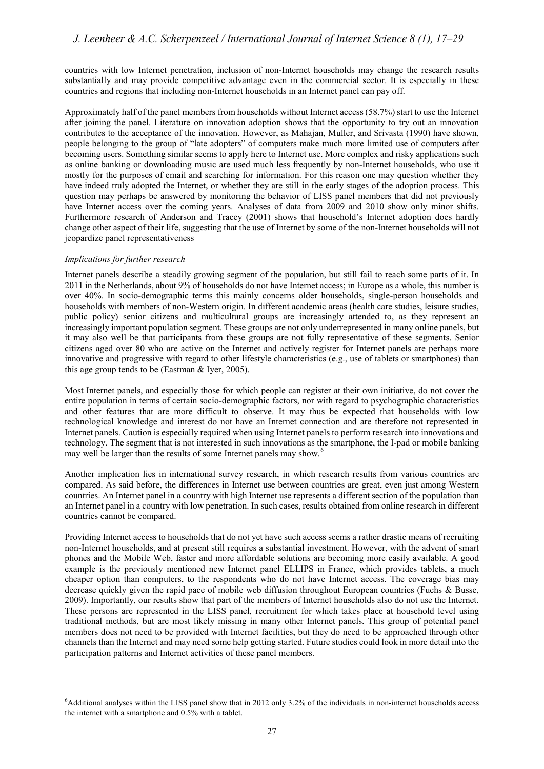countries with low Internet penetration, inclusion of non-Internet households may change the research results substantially and may provide competitive advantage even in the commercial sector. It is especially in these countries and regions that including non-Internet households in an Internet panel can pay off.

Approximately half of the panel members from households without Internet access (58.7%) start to use the Internet after joining the panel. Literature on innovation adoption shows that the opportunity to try out an innovation contributes to the acceptance of the innovation. However, as Mahajan, Muller, and Srivasta (1990) have shown, people belonging to the group of "late adopters" of computers make much more limited use of computers after becoming users. Something similar seems to apply here to Internet use. More complex and risky applications such as online banking or downloading music are used much less frequently by non-Internet households, who use it mostly for the purposes of email and searching for information. For this reason one may question whether they have indeed truly adopted the Internet, or whether they are still in the early stages of the adoption process. This question may perhaps be answered by monitoring the behavior of LISS panel members that did not previously have Internet access over the coming years. Analyses of data from 2009 and 2010 show only minor shifts. Furthermore research of Anderson and Tracey (2001) shows that household's Internet adoption does hardly change other aspect of their life, suggesting that the use of Internet by some of the non-Internet households will not jeopardize panel representativeness

#### *Implications for further research*

-

Internet panels describe a steadily growing segment of the population, but still fail to reach some parts of it. In 2011 in the Netherlands, about 9% of households do not have Internet access; in Europe as a whole, this number is over 40%. In socio-demographic terms this mainly concerns older households, single-person households and households with members of non-Western origin. In different academic areas (health care studies, leisure studies, public policy) senior citizens and multicultural groups are increasingly attended to, as they represent an increasingly important population segment. These groups are not only underrepresented in many online panels, but it may also well be that participants from these groups are not fully representative of these segments. Senior citizens aged over 80 who are active on the Internet and actively register for Internet panels are perhaps more innovative and progressive with regard to other lifestyle characteristics (e.g., use of tablets or smartphones) than this age group tends to be (Eastman & Iyer, 2005).

Most Internet panels, and especially those for which people can register at their own initiative, do not cover the entire population in terms of certain socio-demographic factors, nor with regard to psychographic characteristics and other features that are more difficult to observe. It may thus be expected that households with low technological knowledge and interest do not have an Internet connection and are therefore not represented in Internet panels. Caution is especially required when using Internet panels to perform research into innovations and technology. The segment that is not interested in such innovations as the smartphone, the I-pad or mobile banking may well be larger than the results of some Internet panels may show.<sup>[6](#page-10-0)</sup>

Another implication lies in international survey research, in which research results from various countries are compared. As said before, the differences in Internet use between countries are great, even just among Western countries. An Internet panel in a country with high Internet use represents a different section of the population than an Internet panel in a country with low penetration. In such cases, results obtained from online research in different countries cannot be compared.

Providing Internet access to households that do not yet have such access seems a rather drastic means of recruiting non-Internet households, and at present still requires a substantial investment. However, with the advent of smart phones and the Mobile Web, faster and more affordable solutions are becoming more easily available. A good example is the previously mentioned new Internet panel ELLIPS in France, which provides tablets, a much cheaper option than computers, to the respondents who do not have Internet access. The coverage bias may decrease quickly given the rapid pace of mobile web diffusion throughout European countries (Fuchs & Busse, 2009). Importantly, our results show that part of the members of Internet households also do not use the Internet. These persons are represented in the LISS panel, recruitment for which takes place at household level using traditional methods, but are most likely missing in many other Internet panels. This group of potential panel members does not need to be provided with Internet facilities, but they do need to be approached through other channels than the Internet and may need some help getting started. Future studies could look in more detail into the participation patterns and Internet activities of these panel members.

<span id="page-10-0"></span><sup>&</sup>lt;sup>6</sup>Additional analyses within the LISS panel show that in 2012 only 3.2% of the individuals in non-internet households access the internet with a smartphone and 0.5% with a tablet.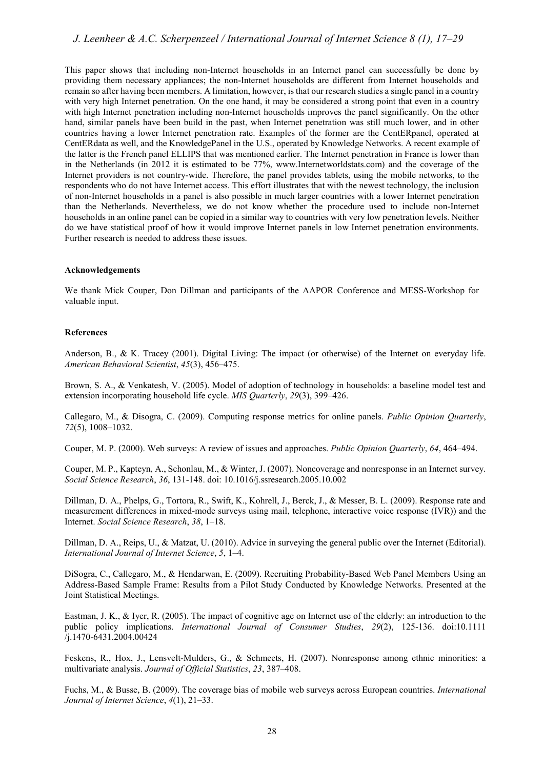### *J. Leenheer & A.C. Scherpenzeel / International Journal of Internet Science 8 (1), 17–29*

This paper shows that including non-Internet households in an Internet panel can successfully be done by providing them necessary appliances; the non-Internet households are different from Internet households and remain so after having been members. A limitation, however, is that our research studies a single panel in a country with very high Internet penetration. On the one hand, it may be considered a strong point that even in a country with high Internet penetration including non-Internet households improves the panel significantly. On the other hand, similar panels have been build in the past, when Internet penetration was still much lower, and in other countries having a lower Internet penetration rate. Examples of the former are the CentERpanel, operated at CentERdata as well, and the KnowledgePanel in the U.S., operated by Knowledge Networks. A recent example of the latter is the French panel ELLIPS that was mentioned earlier. The Internet penetration in France is lower than in the Netherlands (in 2012 it is estimated to be 77%, [www.Internetworldstats.com\)](www.Internetworldstats.com) and the coverage of the Internet providers is not country-wide. Therefore, the panel provides tablets, using the mobile networks, to the respondents who do not have Internet access. This effort illustrates that with the newest technology, the inclusion of non-Internet households in a panel is also possible in much larger countries with a lower Internet penetration than the Netherlands. Nevertheless, we do not know whether the procedure used to include non-Internet households in an online panel can be copied in a similar way to countries with very low penetration levels. Neither do we have statistical proof of how it would improve Internet panels in low Internet penetration environments. Further research is needed to address these issues.

#### **Acknowledgements**

We thank Mick Couper, Don Dillman and participants of the AAPOR Conference and MESS-Workshop for valuable input.

#### **References**

Anderson, B., & K. Tracey (2001). Digital Living: The impact (or otherwise) of the Internet on everyday life. *American Behavioral Scientist*, *45*(3), 456–475.

Brown, S. A., & Venkatesh, V. (2005). Model of adoption of technology in households: a baseline model test and extension incorporating household life cycle. *MIS Quarterly*, *29*(3), 399–426.

Callegaro, M., & Disogra, C. (2009). Computing response metrics for online panels. *Public Opinion Quarterly*, *72*(5), 1008–1032.

Couper, M. P. (2000). Web surveys: A review of issues and approaches. *Public Opinion Quarterly*, *64*, 464–494.

Couper, M. P., Kapteyn, A., Schonlau, M., & Winter, J. (2007). Noncoverage and nonresponse in an Internet survey. *Social Science Research*, *36*, 131-148. do[i: 10.1016/j.ssresearch.2005.10.002](http://dx.doi.org/10.1016/j.ssresearch.2005.10.002)

Dillman, D. A., Phelps, G., Tortora, R., Swift, K., Kohrell, J., Berck, J., & Messer, B. L. (2009). Response rate and measurement differences in mixed-mode surveys using mail, telephone, interactive voice response (IVR)) and the Internet. *Social Science Research*, *38*, 1–18.

Dillman, D. A., Reips, U., & Matzat, U. (2010). Advice in surveying the general public over the Internet (Editorial). *International Journal of Internet Science*, *5*, 1–4.

DiSogra, C., Callegaro, M., & Hendarwan, E. (2009). Recruiting Probability-Based Web Panel Members Using an Address-Based Sample Frame: Results from a Pilot Study Conducted by Knowledge Networks. Presented at the Joint Statistical Meetings.

Eastman, J. K., & Iyer, R. (2005). The impact of cognitive age on Internet use of the elderly: an introduction to the public policy implications. *International Journal of Consumer Studies*, *29*(2), 125-136. doi:[10.1111](http://dx.doi.org/10.1111 /j.1470-6431.2004.00424) [/j.1470-6431.2004.00424](http://dx.doi.org/10.1111 /j.1470-6431.2004.00424)

Feskens, R., Hox, J., Lensvelt-Mulders, G., & Schmeets, H. (2007). Nonresponse among ethnic minorities: a multivariate analysis. *Journal of Official Statistics*, *23*, 387–408.

Fuchs, M., & Busse, B. (2009). The coverage bias of mobile web surveys across European countries. *International Journal of Internet Science*, *4*(1), 21–33.